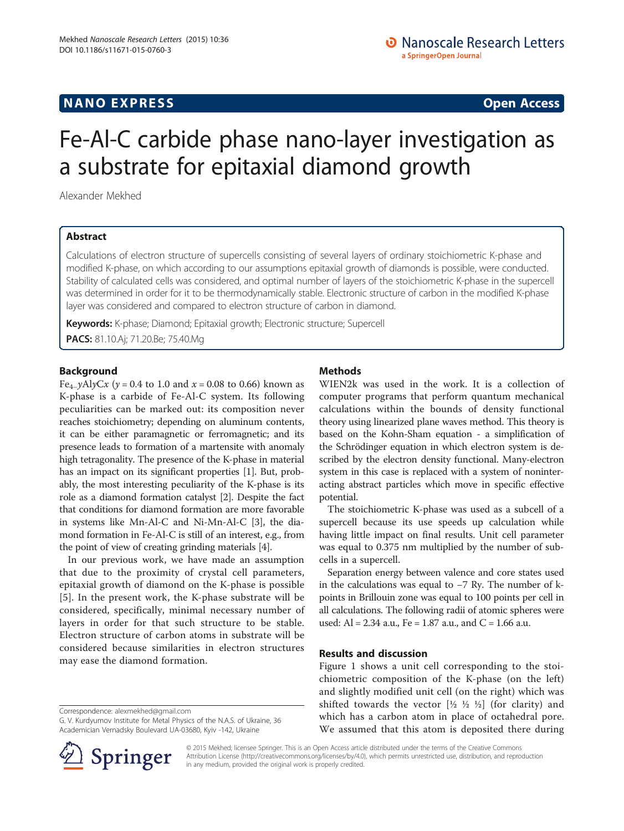### **NANO EXPRESS** Open Access and the set of the set of the set of the set of the set of the set of the set of the set of the set of the set of the set of the set of the set of the set of the set of the set of the set of the

# Fe-Al-C carbide phase nano-layer investigation as a substrate for epitaxial diamond growth

Alexander Mekhed

#### Abstract

Calculations of electron structure of supercells consisting of several layers of ordinary stoichiometric K-phase and modified K-phase, on which according to our assumptions epitaxial growth of diamonds is possible, were conducted. Stability of calculated cells was considered, and optimal number of layers of the stoichiometric K-phase in the supercell was determined in order for it to be thermodynamically stable. Electronic structure of carbon in the modified K-phase layer was considered and compared to electron structure of carbon in diamond.

Keywords: K-phase; Diamond; Epitaxial growth; Electronic structure; Supercell

PACS: 81.10.Aj; 71.20.Be; 75.40.Mg

#### Background

Fe<sub>4−</sub>yAlyCx ( $y = 0.4$  to 1.0 and  $x = 0.08$  to 0.66) known as K-phase is a carbide of Fe-Al-C system. Its following peculiarities can be marked out: its composition never reaches stoichiometry; depending on aluminum contents, it can be either paramagnetic or ferromagnetic; and its presence leads to formation of a martensite with anomaly high tetragonality. The presence of the K-phase in material has an impact on its significant properties [\[1](#page-3-0)]. But, probably, the most interesting peculiarity of the K-phase is its role as a diamond formation catalyst [\[2\]](#page-3-0). Despite the fact that conditions for diamond formation are more favorable in systems like Mn-Al-C and Ni-Mn-Al-C [\[3](#page-3-0)], the diamond formation in Fe-Al-C is still of an interest, e.g., from the point of view of creating grinding materials [[4\]](#page-3-0).

In our previous work, we have made an assumption that due to the proximity of crystal cell parameters, epitaxial growth of diamond on the K-phase is possible [[5](#page-3-0)]. In the present work, the K-phase substrate will be considered, specifically, minimal necessary number of layers in order for that such structure to be stable. Electron structure of carbon atoms in substrate will be considered because similarities in electron structures may ease the diamond formation.

Correspondence: [alexmekhed@gmail.com](mailto:alexmekhed@gmail.com)

G. V. Kurdyumov Institute for Metal Physics of the N.A.S. of Ukraine, 36 Academician Vernadsky Boulevard UA-03680, Kyiv -142, Ukraine



#### Methods

WIEN2k was used in the work. It is a collection of computer programs that perform quantum mechanical calculations within the bounds of density functional theory using linearized plane waves method. This theory is based on the Kohn-Sham equation - a simplification of the Schrödinger equation in which electron system is described by the electron density functional. Many-electron system in this case is replaced with a system of noninteracting abstract particles which move in specific effective potential.

The stoichiometric K-phase was used as a subcell of a supercell because its use speeds up calculation while having little impact on final results. Unit cell parameter was equal to 0.375 nm multiplied by the number of subcells in a supercell.

Separation energy between valence and core states used in the calculations was equal to −7 Ry. The number of kpoints in Brillouin zone was equal to 100 points per cell in all calculations. The following radii of atomic spheres were used: Al = 2.34 a.u., Fe =  $1.87$  a.u., and C =  $1.66$  a.u.

#### Results and discussion

Figure [1](#page-1-0) shows a unit cell corresponding to the stoichiometric composition of the K-phase (on the left) and slightly modified unit cell (on the right) which was shifted towards the vector  $[½ \frac{1}{2} \frac{1}{2}]$  (for clarity) and which has a carbon atom in place of octahedral pore. We assumed that this atom is deposited there during

© 2015 Mekhed; licensee Springer. This is an Open Access article distributed under the terms of the Creative Commons Attribution License [\(http://creativecommons.org/licenses/by/4.0\)](http://creativecommons.org/licenses/by/4.0), which permits unrestricted use, distribution, and reproduction in any medium, provided the original work is properly credited.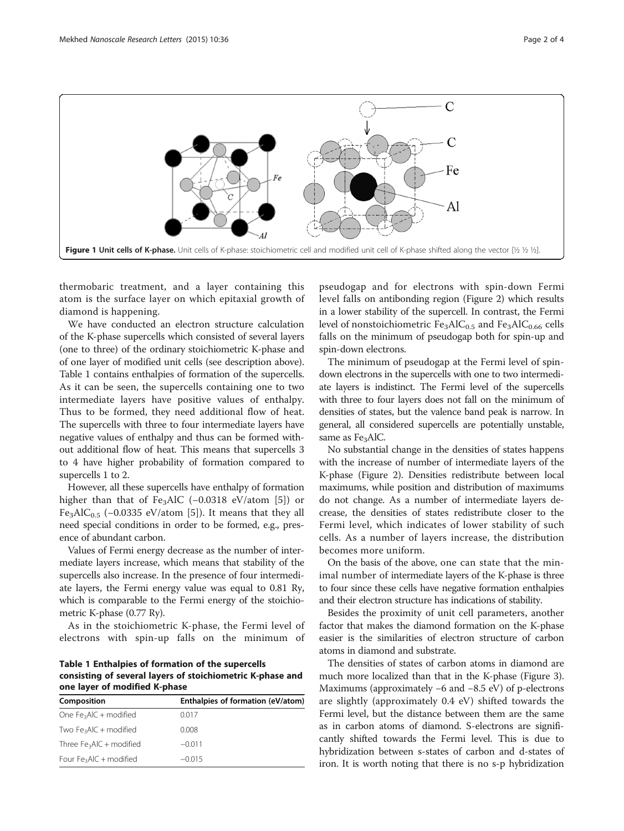<span id="page-1-0"></span>

thermobaric treatment, and a layer containing this atom is the surface layer on which epitaxial growth of diamond is happening.

We have conducted an electron structure calculation of the K-phase supercells which consisted of several layers (one to three) of the ordinary stoichiometric K-phase and of one layer of modified unit cells (see description above). Table 1 contains enthalpies of formation of the supercells. As it can be seen, the supercells containing one to two intermediate layers have positive values of enthalpy. Thus to be formed, they need additional flow of heat. The supercells with three to four intermediate layers have negative values of enthalpy and thus can be formed without additional flow of heat. This means that supercells 3 to 4 have higher probability of formation compared to supercells 1 to 2.

However, all these supercells have enthalpy of formation higher than that of Fe<sub>3</sub>AlC (−0.0318 eV/atom [\[5](#page-3-0)]) or Fe<sub>3</sub>AlC<sub>0.5</sub> (-0.0335 eV/atom [[5\]](#page-3-0)). It means that they all need special conditions in order to be formed, e.g., presence of abundant carbon.

Values of Fermi energy decrease as the number of intermediate layers increase, which means that stability of the supercells also increase. In the presence of four intermediate layers, the Fermi energy value was equal to 0.81 Ry, which is comparable to the Fermi energy of the stoichiometric K-phase (0.77 Ry).

As in the stoichiometric K-phase, the Fermi level of electrons with spin-up falls on the minimum of

Table 1 Enthalpies of formation of the supercells consisting of several layers of stoichiometric K-phase and one layer of modified K-phase

| Composition                | Enthalpies of formation (eV/atom) |
|----------------------------|-----------------------------------|
| One $Fe_3AlC + modified$   | 0.017                             |
| Two $Fe_3AIC + modified$   | 0.008                             |
| Three $Fe_3AlC + modified$ | $-0.011$                          |
| Four $Fe_3AlC +$ modified  | $-0.015$                          |

pseudogap and for electrons with spin-down Fermi level falls on antibonding region (Figure [2](#page-2-0)) which results in a lower stability of the supercell. In contrast, the Fermi level of nonstoichiometric  $Fe<sub>3</sub>AlC<sub>0.5</sub>$  and  $Fe<sub>3</sub>AlC<sub>0.66</sub>$  cells falls on the minimum of pseudogap both for spin-up and spin-down electrons.

The minimum of pseudogap at the Fermi level of spindown electrons in the supercells with one to two intermediate layers is indistinct. The Fermi level of the supercells with three to four layers does not fall on the minimum of densities of states, but the valence band peak is narrow. In general, all considered supercells are potentially unstable, same as Fe<sub>3</sub>AlC.

No substantial change in the densities of states happens with the increase of number of intermediate layers of the K-phase (Figure [2\)](#page-2-0). Densities redistribute between local maximums, while position and distribution of maximums do not change. As a number of intermediate layers decrease, the densities of states redistribute closer to the Fermi level, which indicates of lower stability of such cells. As a number of layers increase, the distribution becomes more uniform.

On the basis of the above, one can state that the minimal number of intermediate layers of the K-phase is three to four since these cells have negative formation enthalpies and their electron structure has indications of stability.

Besides the proximity of unit cell parameters, another factor that makes the diamond formation on the K-phase easier is the similarities of electron structure of carbon atoms in diamond and substrate.

The densities of states of carbon atoms in diamond are much more localized than that in the K-phase (Figure [3](#page-2-0)). Maximums (approximately −6 and −8.5 eV) of p-electrons are slightly (approximately 0.4 eV) shifted towards the Fermi level, but the distance between them are the same as in carbon atoms of diamond. S-electrons are significantly shifted towards the Fermi level. This is due to hybridization between s-states of carbon and d-states of iron. It is worth noting that there is no s-p hybridization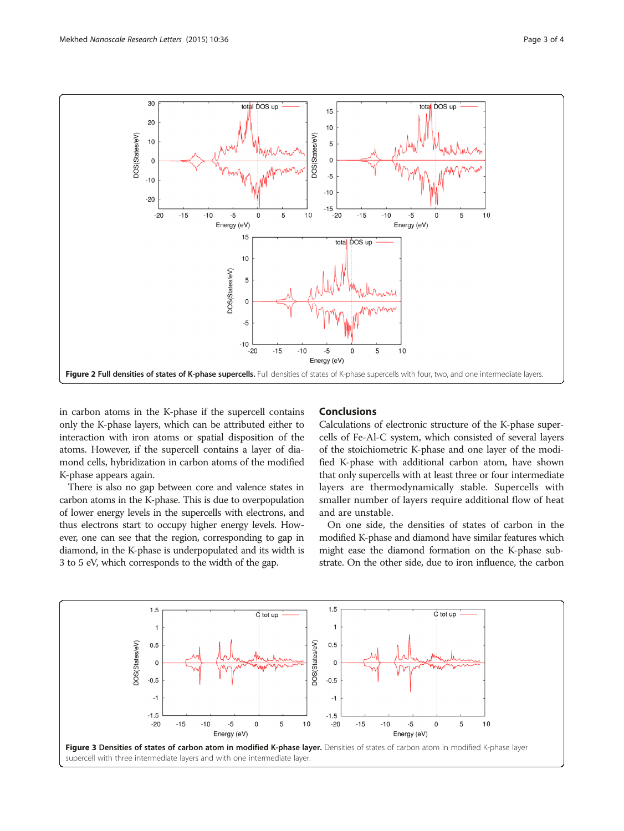<span id="page-2-0"></span>

in carbon atoms in the K-phase if the supercell contains only the K-phase layers, which can be attributed either to interaction with iron atoms or spatial disposition of the atoms. However, if the supercell contains a layer of diamond cells, hybridization in carbon atoms of the modified K-phase appears again.

There is also no gap between core and valence states in carbon atoms in the K-phase. This is due to overpopulation of lower energy levels in the supercells with electrons, and thus electrons start to occupy higher energy levels. However, one can see that the region, corresponding to gap in diamond, in the K-phase is underpopulated and its width is 3 to 5 eV, which corresponds to the width of the gap.

#### Conclusions

Calculations of electronic structure of the K-phase supercells of Fe-Al-C system, which consisted of several layers of the stoichiometric K-phase and one layer of the modified K-phase with additional carbon atom, have shown that only supercells with at least three or four intermediate layers are thermodynamically stable. Supercells with smaller number of layers require additional flow of heat and are unstable.

On one side, the densities of states of carbon in the modified K-phase and diamond have similar features which might ease the diamond formation on the K-phase substrate. On the other side, due to iron influence, the carbon